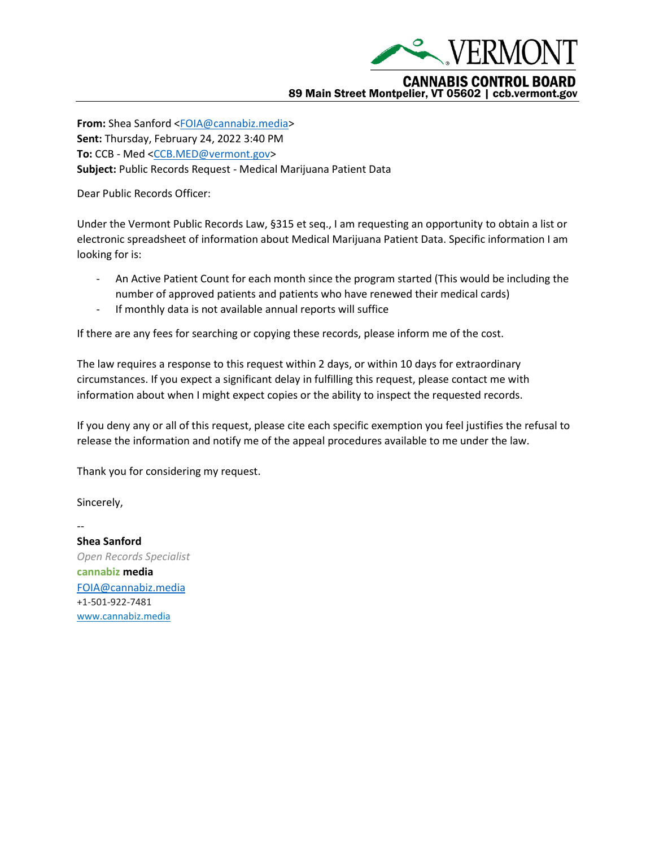

**From:** Shea Sanford [<FOIA@cannabiz.media>](mailto:FOIA@cannabiz.media) **Sent:** Thursday, February 24, 2022 3:40 PM **To:** CCB - Med [<CCB.MED@vermont.gov>](mailto:CCB.MED@vermont.gov) **Subject:** Public Records Request - Medical Marijuana Patient Data

Dear Public Records Officer:

Under the Vermont Public Records Law, §315 et seq., I am requesting an opportunity to obtain a list or electronic spreadsheet of information about Medical Marijuana Patient Data. Specific information I am looking for is:

- An Active Patient Count for each month since the program started (This would be including the number of approved patients and patients who have renewed their medical cards)
- If monthly data is not available annual reports will suffice

If there are any fees for searching or copying these records, please inform me of the cost.

The law requires a response to this request within 2 days, or within 10 days for extraordinary circumstances. If you expect a significant delay in fulfilling this request, please contact me with information about when I might expect copies or the ability to inspect the requested records.

If you deny any or all of this request, please cite each specific exemption you feel justifies the refusal to release the information and notify me of the appeal procedures available to me under the law.

Thank you for considering my request.

Sincerely,

--

**Shea Sanford** *Open Records Specialist* **cannabiz media** [FOIA@cannabiz.media](mailto:FOIA@cannabiz.media) +1-501-922-7481 [www.cannabiz.media](http://www.cannabiz.media/)